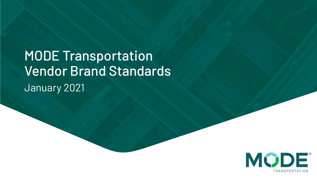Vendor Brand Standards MODE Transportation January 2021

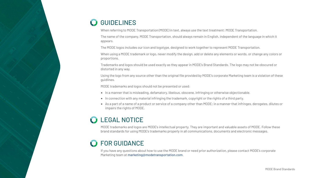## **GUIDELINES**

When referring to MODE Transportation (MODE) in text, always use the text treatment: MODE Transportation.

The name of the company, MODE Transportation, should always remain in English, independent of the language in which it appears.

The MODE logos includes our icon and logotype, designed to work together to represent MODE Transportation.

When using a MODE trademark or logo, never modify the design, add or delete any elements or words, or change any colors or proportions.

Trademarks and logos should be used exactly as they appear in MODE's Brand Standards. The logo may not be obscured or distorted in any way.

Using the logo from any source other than the original file provided by MODE's corporate Marketing team is a violation of these guidlines.

MODE trademarks and logos should not be presented or used:

- In a manner that is misleading, defamatory, libelous, obscene, infringing or otherwise objectionable.
- In connection with any material infringing the trademark, copyright or the rights of a third party.
- As a part of a name of a product or service of a company other than MODE; in a manner that infringes, derogates, dilutes or impairs the rights of MODE.

## LEGAL NOTICE

MODE trademarks and logos are MODE's intellectual property. They are important and valuable assets of MODE. Follow these brand standards for using MODE's trademarks properly in all communications, documents and electronic messages.

## FOR GUIDANCE

If you have any questions about how to use the MODE brand or need prior authorization, please contact MODE's corporate Marketing team at [marketing@modetransportation.com](mailto:marketing@modetransportation.com).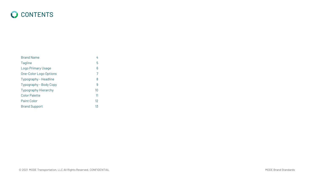<span id="page-2-0"></span>

| <b>Brand Name</b>           | 4  |
|-----------------------------|----|
| Tagline                     | 5  |
| Logo Primary Usage          | 6  |
| One-Color Logo Options      | 7  |
| Typography - Headline       | 8  |
| Typography - Body Copy      | 9  |
| <b>Typography Hierarchy</b> | 10 |
| <b>Color Palette</b>        | 11 |
| <b>Paint Color</b>          | 12 |
| <b>Brand Support</b>        | 13 |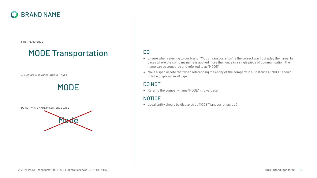## <span id="page-3-0"></span>BRAND NAME

FIRST REFERENCE

## MODE Transportation

ALL OTHER INSTANCES- USE ALL CAPS



DO NOT WRITE NAME IN SENTENCE CASE



#### DO

- Ensure when referring to our brand, "MODE Transportation" is the correct way to display the name. In cases where the company name is applied more than once in a single piece of communication, the name can be truncated and referred to as "MODE".
- Make a special note that when referencing the entity of the company in all instances, "MODE" should only be displayed in all caps.

#### DO NOT

• Refer to the company name "MODE" in lowercase.

### NOTICE

• Legal entity should be displayed as MODE Transportation, LLC.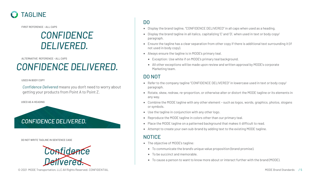<span id="page-4-0"></span>

FIRST REFERENCE - ALL CAPS

## *CONFIDENCE DELIVERED.*

ALTERNATIVE REFERENCE - ALL CAPS

## *CONFIDENCE DELIVERED.*

USED IN BODY COPY

*Confidence Delivered* means you don't need to worry about getting your products from Point A to Point Z.

USED AS A HEADING



DO NOT WRITE TAGLINE IN SENTENCE CASE



- Display the brand tagline, "CONFIDENCE DELIVERED" in all caps when used as a heading.
- Display the brand tagline in all italics, capitalizing 'C' and 'D', when used in text or body copy/ paragraph.
- Ensure the tagline has a clear separation from other copy if there is additional text surrounding it (if not used in body copy).
- Always ensure the tagline is in MODE's primary teal.
	- Exception: Use white if on MODE's primary teal background.
	- All other exceptions will be made upon review and written approval by MODE's corporate Marketing team.

#### DO NOT

- Refer to the company tagline "CONFIDENCE DELIVERED" in lowercase used in text or body copy/ paragraph.
- Rotate, skew, redraw, re-proportion, or otherwise alter or distort the MODE tagline or its elements in any way.
- Combine the MODE tagline with any other element such as logos, words, graphics, photos, slogans or symbols.
- Use the tagline in conjunction with any other logo.
- Reproduce the MODE tagline in colors other than our primary teal.
- Place the MODE tagline on a patterned background that makes it difficult to read.
- Attempt to create your own sub-brand by adding text to the existing MODE tagline.

- The objective of MODE's tagline:
	- To communicate the brand's unique value proposition (brand promise).
	- To be succinct and memorable.
	- To cause a person to want to know more about or interact further with the brand (MODE).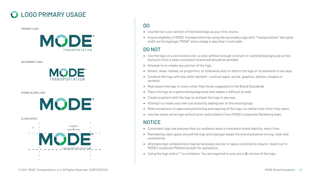## <span id="page-5-0"></span>LOGO PRIMARY USAGE

PRIMARY LOGO



SECONDARY LOGO



STAND-ALONE LOGO



CLEAR SPACE



#### DO

- Use the full-color version of the brand logo as your first choice.
- Ensure legibility of MODE Transportation by using the secondary logo with "Transportation" the same width as the logotype "MODE" when image is less than 1-inch wide.

#### DO NOT

- Use the logo on a non-brand color, a color without enough contrast or cluttered background as this distracts from a clean consistent brand and should be avoided.
- Attempt to re-create any portion of the logo.
- Rotate, skew, redraw, re-proportion, or otherwise alter or distort the logo or its elements in any way.
- Combine the logo with any other element such as logos, words, graphics, photos, slogans or symbols.
- Reproduce the logo in colors other than those suggested in the Brand Standards.
- Place the logo on a patterned background that makes it difficult to read.
- Create a pattern with the logo or animate the logo in any way.
- Attempt to create your own sub-brand by adding text to the existing logo.
- Make exceptions to approved positioning and spacing of the logo, no matter how minor they seem.
- Use the stand-alone logo without prior authorization from MODE's corporate Marketing team.

- Consistent logo use ensures that our audience sees a consistent brand identity, every time.
- Maintaining clear space around the logo and logotype keeps the brand presence strong, clear and uncluttered.
- Alternate logo compositions may be necessary as size or space constraints require; reach out to MODE's corporate Marketing team for assistance.
- Using the logo with a ™ is a violation. You are required to only use a ® version of the logo.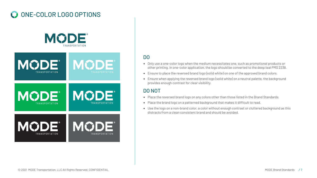## <span id="page-6-0"></span>ONE-COLOR LOGO OPTIONS



#### DO

- Only use a one-color logo when the medium necessitates one, such as promotional products or other printing. In one-color application, the logo should be converted to the deep teal PMS 2238.
- Ensure to place the reversed brand logo (solid white) on one of the approved brand colors.
- Ensure when applying the reversed brand logo (solid white) on a neutral palette, the background provides enough contrast for clear visibility.

#### DO NOT

- Place the reversed brand logo on any colors other than those listed in the Brand Standards.
- Place the brand logo on a patterned background that makes it difficult to read.
- Use the logo on a non-brand color, a color without enough contrast or cluttered background as this distracts from a clean consistent brand and should be avoided.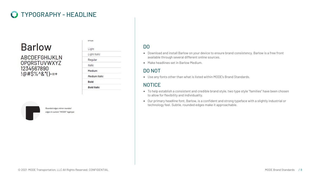## <span id="page-7-0"></span>TYPOGRAPHY - HEADLINE

# **Barlow**

**ABCDEFGHIJKLN OPORSTUVWXYZ** 1234567890  $!@#$\%^0$$  ()-=+

| SITLES               |  |
|----------------------|--|
| Light                |  |
| Light Italic         |  |
| Regular              |  |
| <i>Italic</i>        |  |
| Medium               |  |
| <b>Medium Italic</b> |  |
| <b>Bold</b>          |  |
| <b>Bold Italic</b>   |  |

Rounded edges mirror rounded edges in custom "MODE" logotype

#### DO

- Download and install Barlow on your device to ensure brand consistency. Barlow is a free front available through several different online sources.
- Make headlines set in Barlow Medium.

#### DO NOT

• Use any fonts other than what is listed within MODE's Brand Standards.

- To help establish a consistent and credible brand style, two type style "families" have been chosen to allow for flexibility and individuality.
- Our primary headline font, Barlow, is a confident and strong typeface with a slightly industrial or technology feel. Subtle, rounded edges make it approachable.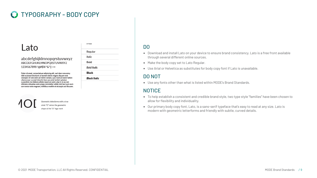## <span id="page-8-0"></span>TYPOGRAPHY - BODY COPY

## Lato

abcdefghijklmnopgrstuvwxyz ABCDEFGHIJKLMNOPQRSTUVWXYZ 1234567890 !@#\$%^&\*()-=+

Dolor sit amet, consectetuer adipiscing elit, sed diam nonummy nibh euismod tincidunt ut laoreet dolore magna aliquam erat volutpat. Ut wisi enim ad minim veniam, quis nostrud exerci tation ullamcorper suscipit lobortis.Nam earuptat lantiati optatem cusandisto mo blabora alitate mporrum asim utae in re ea non nihiciam, doluptae venis prepe comniatior sollab inist laut eum eum con nonse none magnam, inihilibus moditin et eictaspis aut ilibusam.



Geometric letterforms with a true rcle "O" mirror the geometric shape of the "O" logo mark

#### Regular Italic Bold **Bold Italic Black**

**Black Italic** 

**STYLES** 

#### DO

- Download and install Lato on your device to ensure brand consistency. Lato is a free front available through several different online sources.
- Make the body copy set to Lato Regular.
- Use Arial or Helvetica as substitutes for body copy font if Lato is unavailable.

#### DO NOT

• Use any fonts other than what is listed within MODE's Brand Standards.

- To help establish a consistent and credible brand style, two type style "families" have been chosen to allow for flexibility and individuality.
- Our primary body copy font, Lato, is a sans-serif typeface that's easy to read at any size. Lato is modern with geometric letterforms and friendly with subtle, curved details.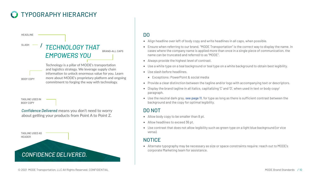## <span id="page-9-0"></span>TYPOGRAPHY HIERARCHY

SLASH - / TECHNOLOGY THAT *EMPOWERS YOU* BRAND-ALL CAPS

> Technology is a pillar of MODE's transportation and logistics strategy. We leverage supply chain information to unlock enormous value for you. Learn more about MODE's proprietary platform and ongoing commitment to forging the way with technology.

TAGLINE USED IN BODY COPY

HEADLINE

BODY COPY

*Confidence Delivered* means you don't need to worry about getting your products from Point A to Point Z.



#### DO

- Align headline over left of body copy and write headlines in all caps, when possible.
- Ensure when referring to our brand, "MODE Transportation" is the correct way to display the name. In cases where the company name is applied more than once in a single piece of communication, the name can be truncated and referred to as "MODE".
- Always provide the highest level of contrast.
- Use a white type on a teal background or teal type on a white background to obtain best legibility.
- Use slash before headlines.
	- Exceptions: PowerPoint & social media
- Provide a clear distinction between the tagline and/or logo with accompanying text or descriptors.
- Display the brand tagline in all italics, capitalizing 'C' and 'D', when used in text or body copy/ paragraph.
- Use the neutral dark gray, [see page 11](#page-10-0), for type as long as there is sufficient contrast between the background and the copy for optimal legibility.

#### DO NOT

- Allow body copy to be smaller than 8 pt.
- Allow headlines to exceed 36 pt.
- Use contrast that does not allow legibility such as green type on a light blue background (or vice versa).

### **NOTICE**

• Alternate typography may be necessary as size or space constraints require; reach out to MODE's corporate Marketing team for assistance.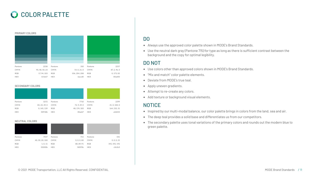## <span id="page-10-0"></span>**COLOR PALETTE**



SECONDARY COLORS

| Pantone     | 3272          | Pantone     | 7710         | Pantone     | 2299          |
|-------------|---------------|-------------|--------------|-------------|---------------|
| <b>CMYK</b> | 83, 23, 49, 0 | <b>CMYK</b> | 72, 9, 29, 0 | <b>CMYK</b> | 41, 0, 100, 0 |
| <b>RGB</b>  | 0, 145, 139   | <b>RGB</b>  | 48, 174, 183 | <b>RGB</b>  | 164, 210, 51  |
| <b>HEX</b>  | 00918b        | <b>HEX</b>  | 30aeb7       | <b>HEX</b>  | a4d233        |

NEUTRAL COLORS

| Pantone     | 7547            | Pantone     | 715         | Pantone     | 441           |
|-------------|-----------------|-------------|-------------|-------------|---------------|
| <b>CMYK</b> | 40, 30, 20, 100 | <b>CMYK</b> | 0, 0, 0, 80 | <b>CMYK</b> | 0, 0, 0, 25   |
| <b>RGB</b>  | 1, 0, 11        | <b>RGB</b>  | 88, 89, 91  | <b>RGB</b>  | 192, 192, 192 |
| <b>HEX</b>  | 01000b          | <b>HEX</b>  | 58595b      | <b>HEX</b>  | c0c0c0        |

#### DO

- Always use the approved color palette shown in MODE's Brand Standards.
- Use the neutral dark gray (Pantone 715) for type as long as there is sufficient contrast between the background and the copy for optimal legibility.

#### DO NOT

- Use colors other than approved colors shown in MODE's Brand Standards.
- "Mix and match" color palette elements.
- Deviate from MODE's true teal.
- Apply uneven gradients.
- Attempt to re-create any colors.
- Add texture or background visual elements.

- Inspired by our multi-modal balance, our color palette brings in colors from the land, sea and air.
- The deep teal provides a solid base and differentiates us from our competitors.
- The secondary palette uses tonal variations of the primary colors and rounds out the modern blue to green palette.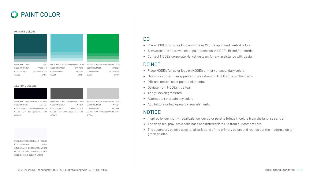## <span id="page-11-0"></span>PAINT COLOR



#### NEUTRAL COLORS

| MANUFACTURER BENJAMIN MOORE   | MANUFACTURER SHERWINWILLIAMS   | MANUFACTURER SHERWINWILLIAMS   |
|-------------------------------|--------------------------------|--------------------------------|
| <b>COLOR NUMBER</b><br>CW-680 | <b>COLOR NUMBER</b><br>SW 7674 | <b>COLOR NUMBER</b><br>SW 7064 |
| MOPBOARD BLACK<br>COLOR NAME  | COLOR NAME<br>PEPPERCORN       | PASSIVE<br><b>COLOR NAME</b>   |
| GLOSS SEMI-GLOSS @ WOOD, FLAT | GLOSS SEMI-GLOSS @ WOOD, FLAT  | GLOSS SEMI-GLOSS @ WOOD, FLAT  |
| @ WALL                        | @ WALL                         | @ WALL                         |
|                               |                                |                                |

MANUFACTURER BENJAMIN MOORE COLOR NUMBER PM-3 COLOR NAME DECORATORS WHITE GLOSS EGGSHELL @ WALLS , FLAT @ CEILINGS; SEMI-GLOSS @ WOOD

#### DO

- Place MODE's full color logo on white or MODE's approved neutral colors.
- Always use the approved color palette shown in MODE's Brand Standards.
- Contact MODE's corporate Marketing team for any assistance with design.

#### DO NOT

- Place MODE's full color logo on MODE's primary or secondary colors.
- Use colors other than approved colors shown in MODE's Brand Standards.
- "Mix and match" color palette elements.
- Deviate from MODE's true teal.
- Apply uneven gradients.
- Attempt to re-create any colors.
- Add texture or background visual elements.

- Inspired by our multi-modal balance, our color palette brings in colors from the land, sea and air.
- The deep teal provides a solid base and differentiates us from our competitors.
- The secondary palette uses tonal variations of the primary colors and rounds out the modern blue to green palette.